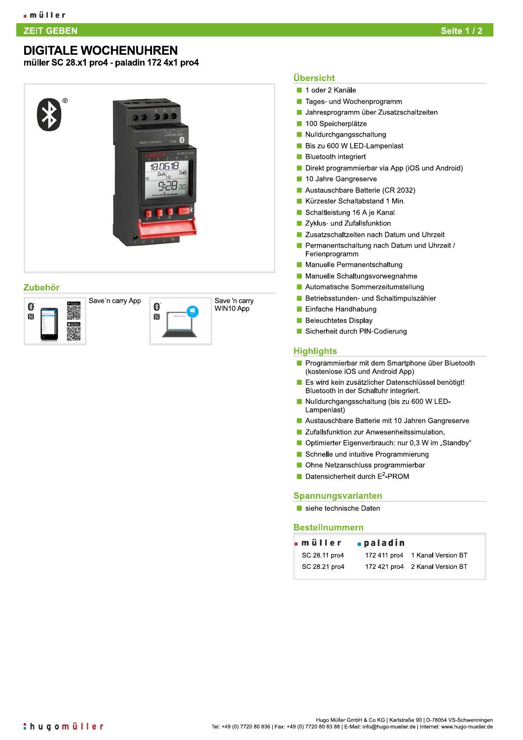### **ZEIT GEBEN** T GEBEN AN DIE SOOS ALS DIE GEBEURE EN GESTELD EN DIE GEBEN AAN DIE GEBEURE GESTELD EN DIE GESTELD OP DE GEBEU<br>GEbeure

# DIGITALE WOCHENUHREN

muller SC 28.x1 pro4 - paladin 172 4x1 pro4







# <u>Ubersicht</u>

- $\blacksquare$  1 oder 2 Kanale
- **F** Tages- und Wochenprogramm
- M, Jahresprogramm über Zusatzschaltzeiten
- 100 Speicherplätze  $\overline{\phantom{a}}$
- **Nulldurchgangsschaltung**
- **Bis zu 600 W LED-Lampenlast**
- $\blacksquare$  Bluetooth integriert
- Direkt programmierbar via App (iOS und Android)
- 10 Jahre Gangreserve **Tale**
- Austauschbare Batterie (CR 2032)
- Kürzester Schaltabstand 1 Min.
- Schaltleistung 16 A je Kanal m.
- **P** Zyklus- und Zufallsfunktion
- **P** Zusatzschaltzeiten nach Datum und Uhrzeit
- **F.** Permanentschaltung nach Datum und Uhrzeit / Ferienprogramm
- **a.** Manuelle Permanentschaltung
- $\blacksquare$ Manuelle Schaltungsvorwegnahme
- **E** Automatische Sommerzeitumstellung
- **T.** Betriebsstunden- und Schaltimpulszähler
- $\blacksquare$  Einfache Handhabung
- **Beleuchtetes Display**
- Sicherheit durch PIN-Codierung

## <u>Higniights</u>

- **E** Programmierbar mit dem Smartphone uber Bluetooth (kostenlose iOS und Android App)
- $\blacksquare$  Es wird kein zusatzlicher Datenschlussel behörigt! Bluetooth in der Schaltuhr integriert.
- U Nulldurchgangsschaltung (bis zu 600 W LED-Lampenlast)
- **E** Austauschbare Batterie mit 10 Jahren Gangreserve
- **P** Zufallsfunktion zur Anwesenheitssimulation.
- $\blacksquare$  Optimierter Eigenverbrauch: nur 0,3 W im "Standby"
- Schnelle und intuitive Programmierung
- $\blacksquare$  Ohne Netzanschluss programmierbar
- Datensicherheit durch  $E^2$ -PROM

### Spannungsvarianten

|                                  | Austauschbare Batterie mit 10 Jahren Gangreserve   |                                 |
|----------------------------------|----------------------------------------------------|---------------------------------|
|                                  | Zufallsfunktion zur Anwesenheitssimulation.        |                                 |
|                                  | Optimierter Eigenverbrauch: nur 0,3 W im "Standby' |                                 |
|                                  | Schnelle und intuitive Programmierung              |                                 |
|                                  | Ohne Netzanschluss programmierbar                  |                                 |
|                                  | Datensicherheit durch E <sup>2</sup> -PROM         |                                 |
|                                  |                                                    |                                 |
|                                  |                                                    |                                 |
|                                  |                                                    |                                 |
| <b>Spannungsvarianten</b>        |                                                    |                                 |
| siehe technische Daten           |                                                    |                                 |
|                                  |                                                    |                                 |
| <b>Bestellnummern</b><br>∎müller | ∎paladin                                           |                                 |
| SC 28.11 pro4                    |                                                    | 172 411 pro4 1 Kanal Version BT |
| SC 28.21 pro4                    |                                                    | 172 421 pro4 2 Kanal Version BT |